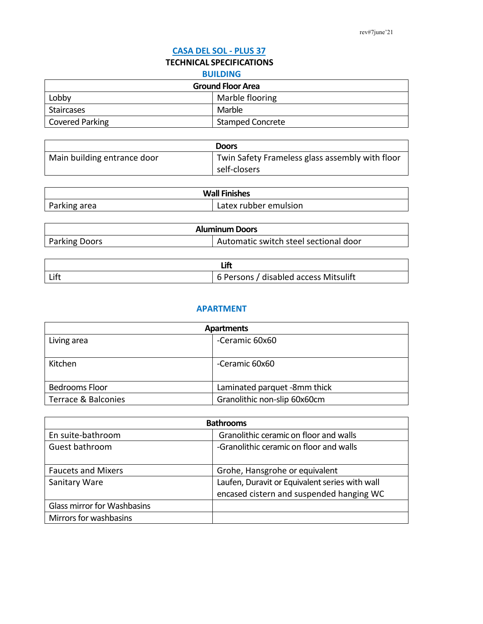### **CASA DEL SOL - PLUS 37**

# **TECHNICAL SPECIFICATIONS**

#### **BUILDING**

| <b>Ground Floor Area</b> |                         |
|--------------------------|-------------------------|
| Lobby                    | Marble flooring         |
| Staircases               | Marble                  |
| Covered Parking          | <b>Stamped Concrete</b> |

|                             | <b>Doors</b>                                    |
|-----------------------------|-------------------------------------------------|
| Main building entrance door | Twin Safety Frameless glass assembly with floor |
|                             | self-closers                                    |

| <b>Wall Finishes</b> |                       |
|----------------------|-----------------------|
| Parking area         | Latex rubber emulsion |

| <b>Aluminum Doors</b> |                                       |
|-----------------------|---------------------------------------|
| <b>Parking Doors</b>  | Automatic switch steel sectional door |

| Lift | 6 Persons / disabled access Mitsulift |
|------|---------------------------------------|

### **APARTMENT**

| <b>Apartments</b>   |                              |
|---------------------|------------------------------|
| Living area         | -Ceramic 60x60               |
|                     |                              |
| Kitchen             | -Ceramic 60x60               |
|                     |                              |
| Bedrooms Floor      | Laminated parquet -8mm thick |
| Terrace & Balconies | Granolithic non-slip 60x60cm |

| <b>Bathrooms</b>            |                                                |
|-----------------------------|------------------------------------------------|
| En suite-bathroom           | Granolithic ceramic on floor and walls         |
| Guest bathroom              | -Granolithic ceramic on floor and walls        |
| <b>Faucets and Mixers</b>   | Grohe, Hansgrohe or equivalent                 |
| <b>Sanitary Ware</b>        | Laufen, Duravit or Equivalent series with wall |
|                             | encased cistern and suspended hanging WC       |
| Glass mirror for Washbasins |                                                |
| Mirrors for washbasins      |                                                |